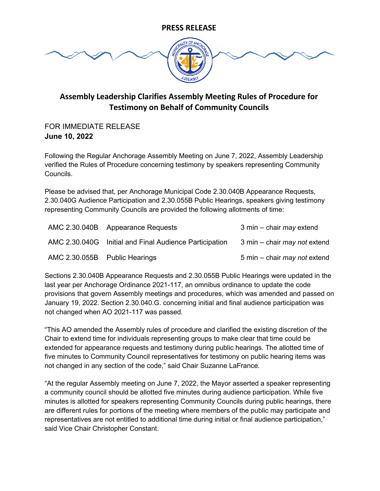

## **Assembly Leadership Clarifies Assembly Meeting Rules of Procedure for Testimony on Behalf of Community Councils**

### FOR IMMEDIATE RELEASE **June 10, 2022**

Following the Regular Anchorage Assembly Meeting on June 7, 2022, Assembly Leadership verified the Rules of Procedure concerning testimony by speakers representing Community Councils.

Please be advised that, per Anchorage Municipal Code 2.30.040B Appearance Requests, 2.30.040G Audience Participation and 2.30.055B Public Hearings, speakers giving testimony representing Community Councils are provided the following allotments of time:

|                               | AMC 2.30.040B Appearance Requests                      | 3 min – chair may extend            |
|-------------------------------|--------------------------------------------------------|-------------------------------------|
|                               | AMC 2.30.040G Initial and Final Audience Participation | 3 min – chair <i>may not</i> extend |
| AMC 2.30.055B Public Hearings |                                                        | 5 min – chair <i>may not</i> extend |

Sections 2.30.040B Appearance Requests and 2.30.055B Public Hearings were updated in the last year per Anchorage Ordinance 2021-117, an omnibus ordinance to update the code provisions that govern Assembly meetings and procedures, which was amended and passed on January 19, 2022. Section 2.30.040.G. concerning initial and final audience participation was not changed when AO 2021-117 was passed.

"This AO amended the Assembly rules of procedure and clarified the existing discretion of the Chair to extend time for individuals representing groups to make clear that time could be extended for appearance requests and testimony during public hearings. The allotted time of five minutes to Community Council representatives for testimony on public hearing items was not changed in any section of the code," said Chair Suzanne LaFrance.

"At the regular Assembly meeting on June 7, 2022, the Mayor asserted a speaker representing a community council should be allotted five minutes during audience participation. While five minutes is allotted for speakers representing Community Councils during public hearings, there are different rules for portions of the meeting where members of the public may participate and representatives are not entitled to additional time during initial or final audience participation," said Vice Chair Christopher Constant.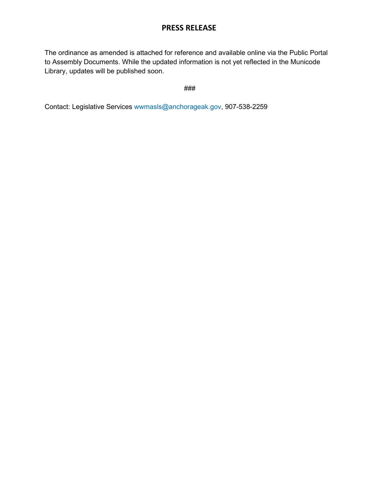## **PRESS RELEASE**

The ordinance as amended is attached for reference and available online via the Public Portal to Assembly Documents. While the updated information is not yet reflected in the Municode Library, updates will be published soon.

###

Contact: Legislative Services [wwmasls@anchorageak.gov,](mailto:wwmasls@anchorageak.gov) 907-538-2259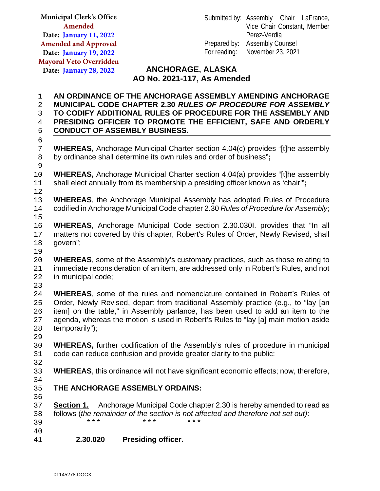|                     | <b>Municipal Clerk's Office</b> |                                                                                   |                             | Submitted by: Assembly Chair LaFrance,                                                                                   |
|---------------------|---------------------------------|-----------------------------------------------------------------------------------|-----------------------------|--------------------------------------------------------------------------------------------------------------------------|
|                     | Amended                         |                                                                                   |                             | Vice Chair Constant, Member                                                                                              |
|                     | Date: January 11, 2022          |                                                                                   |                             | Perez-Verdia                                                                                                             |
|                     | <b>Amended and Approved</b>     |                                                                                   |                             | <b>Assembly Counsel</b>                                                                                                  |
|                     | Date: January 19, 2022          |                                                                                   | For reading:                | November 23, 2021                                                                                                        |
|                     | <b>Mayoral Veto Overridden</b>  |                                                                                   |                             |                                                                                                                          |
|                     | Date: January 28, 2022          |                                                                                   | <b>ANCHORAGE, ALASKA</b>    |                                                                                                                          |
|                     |                                 |                                                                                   | AO No. 2021-117, As Amended |                                                                                                                          |
| 1<br>$\overline{2}$ |                                 |                                                                                   |                             | AN ORDINANCE OF THE ANCHORAGE ASSEMBLY AMENDING ANCHORAGE<br>MUNICIPAL CODE CHAPTER 2.30 RULES OF PROCEDURE FOR ASSEMBLY |
| 3                   |                                 |                                                                                   |                             | TO CODIFY ADDITIONAL RULES OF PROCEDURE FOR THE ASSEMBLY AND                                                             |
| $\overline{4}$      |                                 |                                                                                   |                             | PRESIDING OFFICER TO PROMOTE THE EFFICIENT, SAFE AND ORDERLY                                                             |
| 5                   |                                 | <b>CONDUCT OF ASSEMBLY BUSINESS.</b>                                              |                             |                                                                                                                          |
| 6<br>7              |                                 |                                                                                   |                             | <b>WHEREAS, Anchorage Municipal Charter section 4.04(c) provides "[t]he assembly</b>                                     |
| $\,8\,$<br>9        |                                 | by ordinance shall determine its own rules and order of business";                |                             |                                                                                                                          |
| 10                  |                                 |                                                                                   |                             | WHEREAS, Anchorage Municipal Charter section 4.04(a) provides "[t]he assembly                                            |
| 11<br>12            |                                 | shall elect annually from its membership a presiding officer known as 'chair"';   |                             |                                                                                                                          |
| 13                  |                                 |                                                                                   |                             | <b>WHEREAS, the Anchorage Municipal Assembly has adopted Rules of Procedure</b>                                          |
| 14<br>15            |                                 |                                                                                   |                             | codified in Anchorage Municipal Code chapter 2.30 Rules of Procedure for Assembly;                                       |
| 16                  |                                 |                                                                                   |                             | <b>WHEREAS, Anchorage Municipal Code section 2.30.0301. provides that "In all</b>                                        |
| 17                  |                                 |                                                                                   |                             | matters not covered by this chapter, Robert's Rules of Order, Newly Revised, shall                                       |
| 18                  | govern";                        |                                                                                   |                             |                                                                                                                          |
| 19                  |                                 |                                                                                   |                             | <b>WHEREAS, some of the Assembly's customary practices, such as those relating to</b>                                    |
| 20<br>21            |                                 |                                                                                   |                             | immediate reconsideration of an item, are addressed only in Robert's Rules, and not                                      |
| 22                  | in municipal code;              |                                                                                   |                             |                                                                                                                          |
| 23                  |                                 |                                                                                   |                             |                                                                                                                          |
| 24                  |                                 |                                                                                   |                             | WHEREAS, some of the rules and nomenclature contained in Robert's Rules of                                               |
| 25                  |                                 |                                                                                   |                             | Order, Newly Revised, depart from traditional Assembly practice (e.g., to "lay [an                                       |
| 26                  |                                 |                                                                                   |                             | item] on the table," in Assembly parlance, has been used to add an item to the                                           |
| 27                  |                                 |                                                                                   |                             | agenda, whereas the motion is used in Robert's Rules to "lay [a] main motion aside                                       |
| 28                  | temporarily");                  |                                                                                   |                             |                                                                                                                          |
| 29                  |                                 |                                                                                   |                             |                                                                                                                          |
| 30                  |                                 |                                                                                   |                             | <b>WHEREAS</b> , further codification of the Assembly's rules of procedure in municipal                                  |
| 31<br>32            |                                 | code can reduce confusion and provide greater clarity to the public;              |                             |                                                                                                                          |
| 33                  |                                 |                                                                                   |                             | <b>WHEREAS</b> , this ordinance will not have significant economic effects; now, therefore,                              |
| 34                  |                                 |                                                                                   |                             |                                                                                                                          |
| 35                  |                                 | THE ANCHORAGE ASSEMBLY ORDAINS:                                                   |                             |                                                                                                                          |
| 36                  |                                 |                                                                                   |                             |                                                                                                                          |
| 37                  | Section 1.                      |                                                                                   |                             | Anchorage Municipal Code chapter 2.30 is hereby amended to read as                                                       |
| 38                  |                                 | follows (the remainder of the section is not affected and therefore not set out): |                             |                                                                                                                          |
| 39                  | * * *                           | * * *                                                                             | * * *                       |                                                                                                                          |
| 40                  |                                 |                                                                                   |                             |                                                                                                                          |
| 41                  | 2.30.020                        | Presiding officer.                                                                |                             |                                                                                                                          |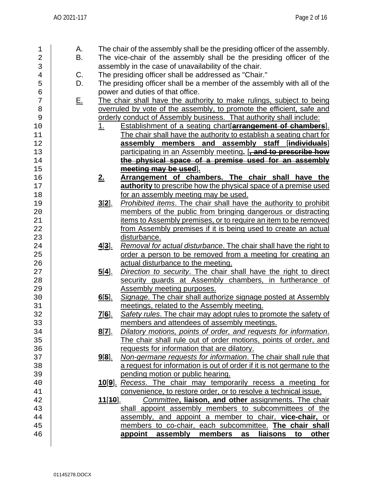| 1              | А.        |                | The chair of the assembly shall be the presiding officer of the assembly. |
|----------------|-----------|----------------|---------------------------------------------------------------------------|
| $\overline{2}$ | B.        |                | The vice-chair of the assembly shall be the presiding officer of the      |
| 3              |           |                | assembly in the case of unavailability of the chair.                      |
| 4              | C.        |                | The presiding officer shall be addressed as "Chair."                      |
| 5              | D.        |                | The presiding officer shall be a member of the assembly with all of the   |
| б              |           |                | power and duties of that office.                                          |
| 7              | <u>E.</u> |                | The chair shall have the authority to make rulings, subject to being      |
| 8              |           |                | overruled by vote of the assembly, to promote the efficient, safe and     |
| 9              |           |                | orderly conduct of Assembly business. That authority shall include:       |
| 10             |           | 1 <sub>1</sub> | <b>Establishment of a seating chart[arrangement of chambers].</b>         |
| 11             |           |                | The chair shall have the authority to establish a seating chart for       |
| 12             |           |                | assembly members and assembly staff [individuals]                         |
| 13             |           |                | participating in an Assembly meeting. [, and to prescribe how             |
| 14             |           |                | the physical space of a premise used for an assembly                      |
| 15             |           |                |                                                                           |
|                |           |                | meeting may be used].                                                     |
| 16             |           | 2.             | Arrangement of chambers. The chair shall have the                         |
| 17             |           |                | authority to prescribe how the physical space of a premise used           |
| 18             |           |                | for an assembly meeting may be used.                                      |
| 19             |           | <u>3[2].</u>   | Prohibited items. The chair shall have the authority to prohibit          |
| 20             |           |                | members of the public from bringing dangerous or distracting              |
| 21             |           |                | items to Assembly premises, or to require an item to be removed           |
| 22             |           |                | from Assembly premises if it is being used to create an actual            |
| 23             |           |                | disturbance.                                                              |
| 24             |           | $4[3]$ .       | Removal for actual disturbance. The chair shall have the right to         |
| 25             |           |                | order a person to be removed from a meeting for creating an               |
| 26             |           |                | actual disturbance to the meeting.                                        |
| 27             |           | <u>5[4].</u>   | Direction to security. The chair shall have the right to direct           |
| 28             |           |                | security guards at Assembly chambers, in furtherance of                   |
| 29             |           |                | Assembly meeting purposes.                                                |
| 30             |           | $6[5]$ .       | Signage. The chair shall authorize signage posted at Assembly             |
| 31             |           |                | meetings, related to the Assembly meeting.                                |
| 32             |           | <u>7[6].</u>   | Safety rules. The chair may adopt rules to promote the safety of          |
| 33             |           |                | members and attendees of assembly meetings.                               |
| 34             |           | <u>8[Z].</u>   | Dilatory motions, points of order, and requests for information.          |
| 35             |           |                | The chair shall rule out of order motions, points of order, and           |
| 36             |           |                | requests for information that are dilatory.                               |
| 37             |           | <u>9[8].</u>   | Non-germane requests for information. The chair shall rule that           |
| 38             |           |                | a request for information is out of order if it is not germane to the     |
| 39             |           |                | pending motion or public hearing.                                         |
| 40             |           |                | 10[9]. Recess. The chair may temporarily recess a meeting for             |
| 41             |           |                | convenience, to restore order, or to resolve a technical issue.           |
| 42             |           | <u>11[10].</u> | Committee, liaison, and other assignments. The chair                      |
| 43             |           |                | shall appoint assembly members to subcommittees of the                    |
| 44             |           |                | assembly, and appoint a member to chair, vice-chair, or                   |
| 45             |           |                | members to co-chair, each subcommittee. The chair shall                   |
| 46             |           |                | liaisons<br>members<br>appoint<br>assembly<br>to<br>other<br>as           |
|                |           |                |                                                                           |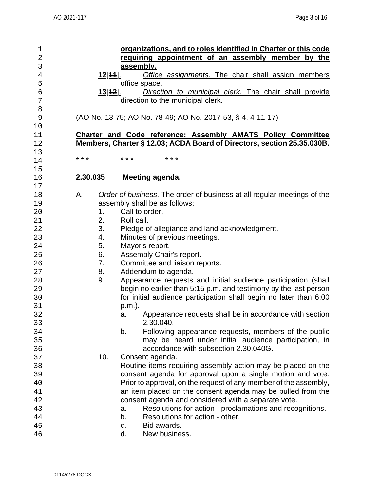1 **organizations, and to roles identified in Charter or this code**  2 **requiring appointment of an assembly member by the**  3 **assembly.**<br>4 **12[44]**. Offic 4 **12**[**11**]. *Office assignments*. The chair shall assign members 5 office space.<br>6 **office space.**<br>13[12]. Direct 6 **13**[**12**]. *Direction to municipal clerk*. The chair shall provide direction to the municipal clerk. 8 9 (AO No. 13-75; AO No. 78-49; AO No. 2017-53, § 4, 4-11-17)  $\begin{array}{c} 10 \\ 11 \end{array}$ 11 **Charter and Code reference: Assembly AMATS Policy Committee**  12 **Members, Charter § 12.03; ACDA Board of Directors, section 25.35.030B.** 13<br>14 14 \*\*\* \*\*\* \*\*\* \*\*\*  $\frac{15}{16}$ 16 **2.30.035 Meeting agenda.**  $17$ <br> $18$ 18 A. *Order of business*. The order of business at all regular meetings of the 19 assembly shall be as follows:<br>20 1. Call to order.  $\begin{array}{ccc} 20 & 1. & \text{Call to order.} \\ 21 & 2. & \text{Roll call.} \end{array}$ 21 2. Roll call.<br>22 3. Pledge o 3. Pledge of allegiance and land acknowledgment.<br>4. Minutes of previous meetings. 23 4. Minutes of previous meetings.<br>24 5. Mavor's report. 24 | 5. Mayor's report.<br>25 | 6. Assembly Chai 25 6. Assembly Chair's report.<br>26 7. Committee and liaison re 26 7. Committee and liaison reports.<br>27 8. Addendum to agenda. 27 | 8. Addendum to agenda.<br>28 | 9. Appearance requests 28 9. Appearance requests and initial audience participation (shall<br>29 begin no earlier than 5:15 p.m. and testimony by the last person 29 begin no earlier than 5:15 p.m. and testimony by the last person<br>20 for initial audience participation shall begin no later than 6:00 for initial audience participation shall begin no later than 6:00  $\begin{array}{c|c}\n 31 & \text{p.m.} \\
32 & \text{a.}\n \end{array}$ Appearance requests shall be in accordance with section 33 2.30.040.<br>34 b. Following Following appearance requests, members of the public 35 | may be heard under initial audience participation, in 36 accordance with subsection 2.30.040G.<br>37 10 Consent agenda. 37 **10.** Consent agenda.<br>38 **10. Consent agenda.** 38 Routine items requiring assembly action may be placed on the<br>39 consent agenda for approval upon a single motion and vote. 39 consent agenda for approval upon a single motion and vote.<br>40 **Prior to approval on the request of any member of the assembly.** Prior to approval, on the request of any member of the assembly, 41 an item placed on the consent agenda may be pulled from the consent agenda may be pulled from the consent agenda and considered with a separate vote. 42 consent agenda and considered with a separate vote.<br>43 a. Resolutions for action - proclamations and reco 43 a. Resolutions for action - proclamations and recognitions.<br>44 b. Resolutions for action - other. 44 b. Resolutions for action - other.<br>45 c. Bid awards. c. Bid awards.<br>d. New busines 46 d. New business.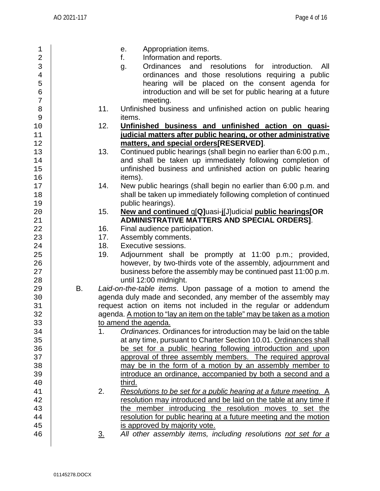| 1              |                   | Appropriation items.<br>e.                                                                     |
|----------------|-------------------|------------------------------------------------------------------------------------------------|
| $\overline{2}$ |                   | f.<br>Information and reports.                                                                 |
| 3              |                   | and<br>Ordinances<br>resolutions for<br>introduction.<br>All<br>g.                             |
| $\,4$          |                   | ordinances and those resolutions requiring a public                                            |
| 5              |                   | hearing will be placed on the consent agenda for                                               |
| $\epsilon$     |                   | introduction and will be set for public hearing at a future                                    |
| 7              |                   | meeting.                                                                                       |
| 8              | 11.               | Unfinished business and unfinished action on public hearing                                    |
| 9              |                   | items.                                                                                         |
| $10$           | 12.               | Unfinished business and unfinished action on quasi-                                            |
| 11             |                   | judicial matters after public hearing, or other administrative                                 |
| 12             |                   | matters, and special orders[RESERVED].                                                         |
| 13             | 13.               | Continued public hearings (shall begin no earlier than 6:00 p.m.,                              |
| 14             |                   | and shall be taken up immediately following completion of                                      |
| 15             |                   | unfinished business and unfinished action on public hearing                                    |
| 16             |                   | items).                                                                                        |
| 17             | 14.               | New public hearings (shall begin no earlier than 6:00 p.m. and                                 |
| 18             |                   | shall be taken up immediately following completion of continued                                |
| 19             |                   | public hearings).                                                                              |
| 20             | 15.               | New and continued q[Q]uasi-j[J]udicial public hearings[OR                                      |
| 21             |                   | ADMINISTRATIVE MATTERS AND SPECIAL ORDERS].                                                    |
| 22             | 16.               | Final audience participation.                                                                  |
| 23<br>24       | 17.<br>18.        | Assembly comments.<br>Executive sessions.                                                      |
| 25             | 19.               | Adjournment shall be promptly at 11:00 p.m.; provided,                                         |
| 26             |                   | however, by two-thirds vote of the assembly, adjournment and                                   |
| 27             |                   | business before the assembly may be continued past 11:00 p.m.                                  |
| 28             |                   | until 12:00 midnight.                                                                          |
| 29             | В.                | Laid-on-the-table items. Upon passage of a motion to amend the                                 |
| 30             |                   | agenda duly made and seconded, any member of the assembly may                                  |
| 31             |                   | request action on items not included in the regular or addendum                                |
| 32             |                   | agenda. A motion to "lay an item on the table" may be taken as a motion                        |
| 33             |                   | to amend the agenda.                                                                           |
| 34             | 1.                | Ordinances. Ordinances for introduction may be laid on the table                               |
| 35             |                   | at any time, pursuant to Charter Section 10.01. Ordinances shall                               |
| 36             |                   | be set for a public hearing following introduction and upon                                    |
| 37             |                   | approval of three assembly members. The required approval                                      |
| 38             |                   | may be in the form of a motion by an assembly member to                                        |
| 39             |                   | introduce an ordinance, accompanied by both a second and a                                     |
| 40             |                   | third.                                                                                         |
| 41             | 2.                | Resolutions to be set for a public hearing at a future meeting. A                              |
| 42             |                   | resolution may introduced and be laid on the table at any time if                              |
| 43             |                   | the member introducing the resolution moves to set the                                         |
| 44             |                   | resolution for public hearing at a future meeting and the motion                               |
|                |                   |                                                                                                |
| 45<br>46       | $\underline{3}$ . | is approved by majority vote.<br>All other assembly items, including resolutions not set for a |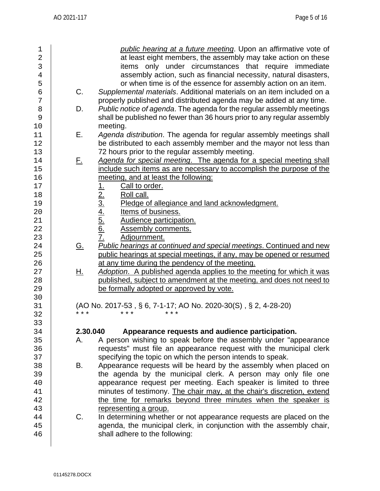| 1              |           | public hearing at a future meeting. Upon an affirmative vote of                       |
|----------------|-----------|---------------------------------------------------------------------------------------|
| $\overline{2}$ |           | at least eight members, the assembly may take action on these                         |
| 3              |           | items only under circumstances that require immediate                                 |
| $\overline{4}$ |           | assembly action, such as financial necessity, natural disasters,                      |
| 5              |           | or when time is of the essence for assembly action on an item.                        |
| $\sigma$       | C.        | Supplemental materials. Additional materials on an item included on a                 |
| 7              |           | properly published and distributed agenda may be added at any time.                   |
| 8              | D.        | Public notice of agenda. The agenda for the regular assembly meetings                 |
| 9              |           | shall be published no fewer than 36 hours prior to any regular assembly               |
| 10             |           | meeting.                                                                              |
| 11             | Ε.        | Agenda distribution. The agenda for regular assembly meetings shall                   |
|                |           |                                                                                       |
| 12             |           | be distributed to each assembly member and the mayor not less than                    |
| 13             |           | 72 hours prior to the regular assembly meeting.                                       |
| 14             | $F_{\pm}$ | Agenda for special meeting. The agenda for a special meeting shall                    |
| 15             |           | include such items as are necessary to accomplish the purpose of the                  |
| 16             |           | meeting, and at least the following:                                                  |
| 17             |           | Call to order.                                                                        |
| 18             |           | Roll call.                                                                            |
| 19             |           | Pledge of allegiance and land acknowledgment.                                         |
| 20             |           | Items of business.                                                                    |
| 21             |           | Audience participation.                                                               |
| 22             |           | <b>Assembly comments.</b>                                                             |
| 23             |           | $\frac{1}{2}$ $\frac{2}{3}$ $\frac{4}{4}$ $\frac{5}{6}$ $\frac{6}{7}$<br>Adjournment. |
| 24             | <u>G.</u> | <b>Public hearings at continued and special meetings. Continued and new</b>           |
| 25             |           | public hearings at special meetings, if any, may be opened or resumed                 |
| 26             |           | at any time during the pendency of the meeting.                                       |
| 27             | <u>Н.</u> | Adoption. A published agenda applies to the meeting for which it was                  |
| 28             |           | published, subject to amendment at the meeting, and does not need to                  |
| 29             |           | be formally adopted or approved by vote.                                              |
| 30             |           |                                                                                       |
|                |           |                                                                                       |
| 31             | * * *     | (AO No. 2017-53, § 6, 7-1-17; AO No. 2020-30(S), § 2, 4-28-20)                        |
| 32             |           |                                                                                       |
| 33             |           |                                                                                       |
| 34             | 2.30.040  | Appearance requests and audience participation.                                       |
| 35             | А.        | A person wishing to speak before the assembly under "appearance"                      |
| 36             |           | requests" must file an appearance request with the municipal clerk                    |
| 37             |           | specifying the topic on which the person intends to speak.                            |
| 38             | В.        | Appearance requests will be heard by the assembly when placed on                      |
| 39             |           | the agenda by the municipal clerk. A person may only file one                         |
| 40             |           | appearance request per meeting. Each speaker is limited to three                      |
| 41             |           | minutes of testimony. The chair may, at the chair's discretion, extend                |
| 42             |           | the time for remarks beyond three minutes when the speaker is                         |
| 43             |           | representing a group.                                                                 |
| 44             | C.        | In determining whether or not appearance requests are placed on the                   |
| 45             |           | agenda, the municipal clerk, in conjunction with the assembly chair,                  |
| 46             |           | shall adhere to the following:                                                        |
|                |           |                                                                                       |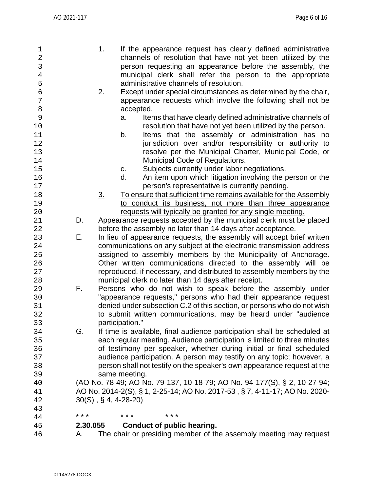| 1<br>$\overline{2}$            |          | 1.<br>If the appearance request has clearly defined administrative<br>channels of resolution that have not yet been utilized by the |
|--------------------------------|----------|-------------------------------------------------------------------------------------------------------------------------------------|
| $\mathsf{3}$<br>$\overline{4}$ |          | person requesting an appearance before the assembly, the<br>municipal clerk shall refer the person to the appropriate               |
| 5                              |          | administrative channels of resolution.                                                                                              |
| $\epsilon$                     |          | 2.<br>Except under special circumstances as determined by the chair,                                                                |
| 7                              |          | appearance requests which involve the following shall not be                                                                        |
| 8                              |          | accepted.                                                                                                                           |
| 9                              |          | Items that have clearly defined administrative channels of<br>a.                                                                    |
| 10                             |          | resolution that have not yet been utilized by the person.                                                                           |
| 11                             |          | Items that the assembly or administration has no<br>b.                                                                              |
| 12                             |          | jurisdiction over and/or responsibility or authority to                                                                             |
| 13                             |          | resolve per the Municipal Charter, Municipal Code, or                                                                               |
| 14                             |          | Municipal Code of Regulations.                                                                                                      |
| 15                             |          | Subjects currently under labor negotiations.<br>C.                                                                                  |
| 16                             |          | An item upon which litigation involving the person or the<br>d.                                                                     |
| 17                             |          | person's representative is currently pending.                                                                                       |
| 18                             |          | To ensure that sufficient time remains available for the Assembly<br>$\underline{3}$ .                                              |
| 19                             |          | to conduct its business, not more than three appearance                                                                             |
| 20                             |          | requests will typically be granted for any single meeting.                                                                          |
| 21                             | D.       | Appearance requests accepted by the municipal clerk must be placed                                                                  |
| 22                             |          | before the assembly no later than 14 days after acceptance.                                                                         |
| 23                             | Е.       | In lieu of appearance requests, the assembly will accept brief written                                                              |
| 24                             |          | communications on any subject at the electronic transmission address                                                                |
| 25                             |          | assigned to assembly members by the Municipality of Anchorage.                                                                      |
| 26                             |          | Other written communications directed to the assembly will be                                                                       |
| 27                             |          | reproduced, if necessary, and distributed to assembly members by the                                                                |
| 28                             |          | municipal clerk no later than 14 days after receipt.                                                                                |
| 29                             | F.       | Persons who do not wish to speak before the assembly under                                                                          |
| 30                             |          | "appearance requests," persons who had their appearance request                                                                     |
| 31                             |          | denied under subsection C.2 of this section, or persons who do not wish                                                             |
| 32                             |          | to submit written communications, may be heard under "audience                                                                      |
| 33                             |          | participation."                                                                                                                     |
| 34                             | G.       | If time is available, final audience participation shall be scheduled at                                                            |
| 35                             |          | each regular meeting. Audience participation is limited to three minutes                                                            |
| 36                             |          | of testimony per speaker, whether during initial or final scheduled                                                                 |
| 37                             |          | audience participation. A person may testify on any topic; however, a                                                               |
| 38                             |          | person shall not testify on the speaker's own appearance request at the                                                             |
| 39                             |          | same meeting.                                                                                                                       |
| 40                             |          | (AO No. 78-49; AO No. 79-137, 10-18-79; AO No. 94-177(S), § 2, 10-27-94;                                                            |
| 41                             |          | AO No. 2014-2(S), § 1, 2-25-14; AO No. 2017-53, § 7, 4-11-17; AO No. 2020-                                                          |
| 42                             |          | $30(S)$ , § 4, 4-28-20)                                                                                                             |
| 43                             |          |                                                                                                                                     |
| 44                             | * * *    | * * *<br>* * *                                                                                                                      |
| 45                             | 2.30.055 | Conduct of public hearing.                                                                                                          |
| 46                             | А.       | The chair or presiding member of the assembly meeting may request                                                                   |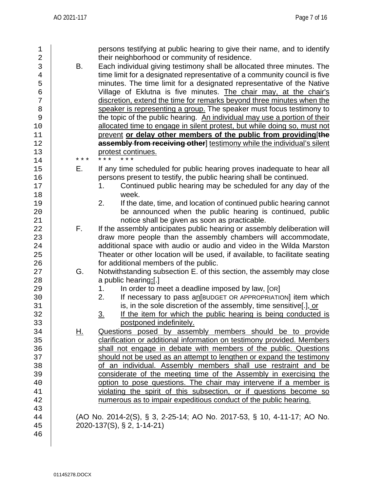| 1<br>$\overline{a}$<br>3<br>$\overline{4}$<br>5<br>6<br>7<br>8<br>9<br>10<br>11<br>12 | В.       | persons testifying at public hearing to give their name, and to identify<br>their neighborhood or community of residence.<br>Each individual giving testimony shall be allocated three minutes. The<br>time limit for a designated representative of a community council is five<br>minutes. The time limit for a designated representative of the Native<br>Village of Eklutna is five minutes. The chair may, at the chair's<br>discretion, extend the time for remarks beyond three minutes when the<br>speaker is representing a group. The speaker must focus testimony to<br>the topic of the public hearing. An individual may use a portion of their<br>allocated time to engage in silent protest, but while doing so, must not<br>prevent or delay other members of the public from providing [the<br>assembly from receiving other] testimony while the individual's silent |
|---------------------------------------------------------------------------------------|----------|----------------------------------------------------------------------------------------------------------------------------------------------------------------------------------------------------------------------------------------------------------------------------------------------------------------------------------------------------------------------------------------------------------------------------------------------------------------------------------------------------------------------------------------------------------------------------------------------------------------------------------------------------------------------------------------------------------------------------------------------------------------------------------------------------------------------------------------------------------------------------------------|
| 13<br>14                                                                              | * * *    | protest continues.                                                                                                                                                                                                                                                                                                                                                                                                                                                                                                                                                                                                                                                                                                                                                                                                                                                                     |
| 15<br>16<br>17<br>18<br>19<br>20<br>21<br>22<br>23<br>24<br>25<br>26                  | Е.<br>F. | If any time scheduled for public hearing proves inadequate to hear all<br>persons present to testify, the public hearing shall be continued.<br>Continued public hearing may be scheduled for any day of the<br>1.<br>week.<br>If the date, time, and location of continued public hearing cannot<br>2.<br>be announced when the public hearing is continued, public<br>notice shall be given as soon as practicable.<br>If the assembly anticipates public hearing or assembly deliberation will<br>draw more people than the assembly chambers will accommodate,<br>additional space with audio or audio and video in the Wilda Marston<br>Theater or other location will be used, if available, to facilitate seating<br>for additional members of the public.                                                                                                                      |
| 27<br>28<br>29<br>30<br>31<br>32<br>33                                                | G.       | Notwithstanding subsection E. of this section, the assembly may close<br>a public hearing:[.]<br>In order to meet a deadline imposed by law, [OR]<br>1.<br>If necessary to pass an [BUDGET OR APPROPRIATION] item which<br>2.<br>is, in the sole discretion of the assembly, time sensitive[.], or<br>If the item for which the public hearing is being conducted is<br><u>3.</u><br>postponed indefinitely.                                                                                                                                                                                                                                                                                                                                                                                                                                                                           |
| 34<br>35<br>36<br>37<br>38<br>39<br>40<br>41<br>42<br>43                              | Η.       | Questions posed by assembly members should be to provide<br>clarification or additional information on testimony provided. Members<br>shall not engage in debate with members of the public. Questions<br>should not be used as an attempt to lengthen or expand the testimony<br>of an individual. Assembly members shall use restraint and be<br>considerate of the meeting time of the Assembly in exercising the<br>option to pose questions. The chair may intervene if a member is<br>violating the spirit of this subsection, or if questions become so<br>numerous as to impair expeditious conduct of the public hearing.                                                                                                                                                                                                                                                     |
| 44<br>45<br>46                                                                        |          | (AO No. 2014-2(S), § 3, 2-25-14; AO No. 2017-53, § 10, 4-11-17; AO No.<br>2020-137(S), § 2, 1-14-21)                                                                                                                                                                                                                                                                                                                                                                                                                                                                                                                                                                                                                                                                                                                                                                                   |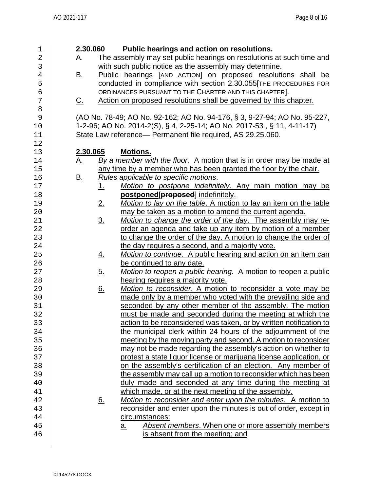| 1              | 2.30.060<br>Public hearings and action on resolutions.                                                |
|----------------|-------------------------------------------------------------------------------------------------------|
| $\overline{2}$ | The assembly may set public hearings on resolutions at such time and<br>А.                            |
| 3              | with such public notice as the assembly may determine.                                                |
| $\overline{4}$ | Public hearings [AND ACTION] on proposed resolutions shall be<br>В.                                   |
| 5              | conducted in compliance with section 2.30.055[THE PROCEDURES FOR                                      |
| б              | ORDINANCES PURSUANT TO THE CHARTER AND THIS CHAPTER].                                                 |
| 7              | Action on proposed resolutions shall be governed by this chapter.<br><u>C.</u>                        |
| 8              |                                                                                                       |
| 9              | (AO No. 78-49; AO No. 92-162; AO No. 94-176, § 3, 9-27-94; AO No. 95-227,                             |
| 10             | 1-2-96; AO No. 2014-2(S), § 4, 2-25-14; AO No. 2017-53, § 11, 4-11-17)                                |
| 11             | State Law reference- Permanent file required, AS 29.25.060.                                           |
| 12             |                                                                                                       |
| 13             | 2.30.065<br><b>Motions.</b>                                                                           |
| 14             | By a member with the floor. A motion that is in order may be made at<br><u>A.</u>                     |
| 15             | any time by a member who has been granted the floor by the chair.                                     |
| 16             | Rules applicable to specific motions.                                                                 |
| 17             | <u>B.</u><br>1.                                                                                       |
|                | Motion to postpone indefinitely. Any main motion may be                                               |
| 18<br>19       | postponed[proposed] indefinitely.<br>Motion to lay on the table. A motion to lay an item on the table |
|                | 2.                                                                                                    |
| 20             | may be taken as a motion to amend the current agenda.                                                 |
| 21             | Motion to change the order of the day. The assembly may re-<br>$\underline{3}$ .                      |
| 22             | order an agenda and take up any item by motion of a member                                            |
| 23             | to change the order of the day. A motion to change the order of                                       |
| 24             | the day requires a second, and a majority vote.                                                       |
| 25             | Motion to continue. A public hearing and action on an item can<br><u>4.</u>                           |
| 26             | be continued to any date.                                                                             |
| 27             | Motion to reopen a public hearing. A motion to reopen a public<br><u>5.</u>                           |
| 28             | hearing requires a majority vote.                                                                     |
| 29             | 6.<br>Motion to reconsider. A motion to reconsider a vote may be                                      |
| 30             | made only by a member who voted with the prevailing side and                                          |
| 31             | seconded by any other member of the assembly. The motion                                              |
| 32             | must be made and seconded during the meeting at which the                                             |
| 33             | action to be reconsidered was taken, or by written notification to                                    |
| 34             | the municipal clerk within 24 hours of the adjournment of the                                         |
| 35             | meeting by the moving party and second. A motion to reconsider                                        |
| 36             | may not be made regarding the assembly's action on whether to                                         |
| 37             | protest a state liquor license or marijuana license application, or                                   |
| 38             | on the assembly's certification of an election. Any member of                                         |
| 39             | the assembly may call up a motion to reconsider which has been                                        |
| 40             | duly made and seconded at any time during the meeting at                                              |
| 41             | which made, or at the next meeting of the assembly.                                                   |
| 42             | Motion to reconsider and enter upon the minutes. A motion to<br><u>6.</u>                             |
| 43             | reconsider and enter upon the minutes is out of order, except in                                      |
| 44             | circumstances:                                                                                        |
| 45             | Absent members. When one or more assembly members<br><u>a.</u>                                        |
| 46             | is absent from the meeting; and                                                                       |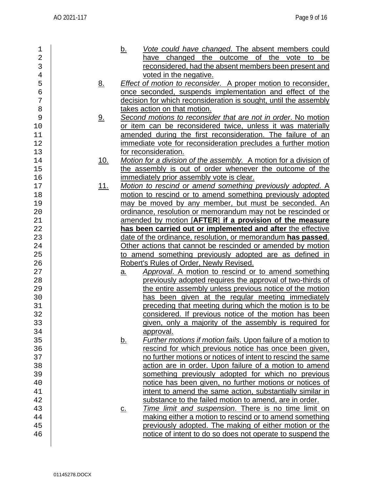| 1              |            | <u>b.</u> | Vote could have changed. The absent members could                     |
|----------------|------------|-----------|-----------------------------------------------------------------------|
| $\overline{2}$ |            |           | have changed the outcome of the vote to be                            |
| 3              |            |           | reconsidered, had the absent members been present and                 |
|                |            |           |                                                                       |
| $\bf 4$        |            |           | voted in the negative.                                                |
| 5              | <u>8.</u>  |           | <b>Effect of motion to reconsider.</b> A proper motion to reconsider, |
| $\epsilon$     |            |           | once seconded, suspends implementation and effect of the              |
| 7              |            |           | decision for which reconsideration is sought, until the assembly      |
|                |            |           |                                                                       |
| 8              |            |           | takes action on that motion.                                          |
| 9              | <u>9.</u>  |           | Second motions to reconsider that are not in order. No motion         |
| 10             |            |           | or item can be reconsidered twice, unless it was materially           |
| 11             |            |           | amended during the first reconsideration. The failure of an           |
|                |            |           |                                                                       |
| 12             |            |           | immediate vote for reconsideration precludes a further motion         |
| 13             |            |           | for reconsideration.                                                  |
| 14             | <u>10.</u> |           | Motion for a division of the assembly. A motion for a division of     |
| 15             |            |           | the assembly is out of order whenever the outcome of the              |
|                |            |           |                                                                       |
| 16             |            |           | immediately prior assembly vote is clear.                             |
| $17$           | <u>11.</u> |           | Motion to rescind or amend something previously adopted. A            |
| 18             |            |           | motion to rescind or to amend something previously adopted            |
| 19             |            |           | may be moved by any member, but must be seconded. An                  |
| 20             |            |           | ordinance, resolution or memorandum may not be rescinded or           |
|                |            |           |                                                                       |
| 21             |            |           | amended by motion [AFTER] if a provision of the measure               |
| 22             |            |           | has been carried out or implemented and after the effective           |
| 23             |            |           | date of the ordinance, resolution, or memorandum has passed.          |
| 24             |            |           | Other actions that cannot be rescinded or amended by motion           |
| 25             |            |           | to amend something previously adopted are as defined in               |
|                |            |           |                                                                       |
| 26             |            |           | Robert's Rules of Order, Newly Revised.                               |
| 27             |            | <u>a.</u> | Approval. A motion to rescind or to amend something                   |
| 28             |            |           | previously adopted requires the approval of two-thirds of             |
| 29             |            |           | the entire assembly unless previous notice of the motion              |
| 30             |            |           | has been given at the regular meeting immediately                     |
|                |            |           |                                                                       |
| 31             |            |           | preceding that meeting during which the motion is to be               |
| 32             |            |           | considered. If previous notice of the motion has been                 |
| 33             |            |           | given, only a majority of the assembly is required for                |
| 34             |            |           | approval.                                                             |
|                |            |           | Further motions if motion fails. Upon failure of a motion to          |
| 35             |            | <u>b.</u> |                                                                       |
| 36             |            |           | rescind for which previous notice has once been given,                |
| 37             |            |           | no further motions or notices of intent to rescind the same           |
| 38             |            |           | action are in order. Upon failure of a motion to amend                |
| 39             |            |           | something previously adopted for which no previous                    |
|                |            |           |                                                                       |
| 40             |            |           | notice has been given, no further motions or notices of               |
| 41             |            |           | intent to amend the same action, substantially similar in             |
| 42             |            |           | substance to the failed motion to amend, are in order.                |
| 43             |            | <u>c.</u> | Time limit and suspension. There is no time limit on                  |
| 44             |            |           | making either a motion to rescind or to amend something               |
|                |            |           |                                                                       |
| 45             |            |           | previously adopted. The making of either motion or the                |
| 46             |            |           | notice of intent to do so does not operate to suspend the             |
|                |            |           |                                                                       |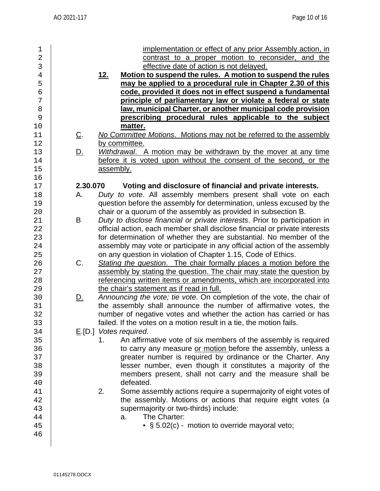| $\mathbf 1$<br>$\overline{2}$<br>3<br>$\overline{4}$<br>5<br>6<br>7<br>8<br>9 |            | implementation or effect of any prior Assembly action, in<br>contrast to a proper motion to reconsider, and the<br>effective date of action is not delayed.<br>Motion to suspend the rules. A motion to suspend the rules<br><u>12.</u><br>may be applied to a procedural rule in Chapter 2.30 of this<br>code, provided it does not in effect suspend a fundamental<br>principle of parliamentary law or violate a federal or state<br>law, municipal Charter, or another municipal code provision<br>prescribing procedural rules applicable to the subject |
|-------------------------------------------------------------------------------|------------|---------------------------------------------------------------------------------------------------------------------------------------------------------------------------------------------------------------------------------------------------------------------------------------------------------------------------------------------------------------------------------------------------------------------------------------------------------------------------------------------------------------------------------------------------------------|
| 10                                                                            |            | matter.                                                                                                                                                                                                                                                                                                                                                                                                                                                                                                                                                       |
| 11<br>12                                                                      | <u>C</u> . | No Committee Motions. Motions may not be referred to the assembly<br>by committee.                                                                                                                                                                                                                                                                                                                                                                                                                                                                            |
| 13<br>14<br>15<br>16                                                          | <u>D.</u>  | Withdrawal. A motion may be withdrawn by the mover at any time<br>before it is voted upon without the consent of the second, or the<br>assembly.                                                                                                                                                                                                                                                                                                                                                                                                              |
| 17                                                                            | 2.30.070   | Voting and disclosure of financial and private interests.                                                                                                                                                                                                                                                                                                                                                                                                                                                                                                     |
| 18<br>19<br>20                                                                | А.         | Duty to vote. All assembly members present shall vote on each<br>question before the assembly for determination, unless excused by the<br>chair or a quorum of the assembly as provided in subsection B.                                                                                                                                                                                                                                                                                                                                                      |
| 21<br>22<br>23<br>24<br>25                                                    | B          | Duty to disclose financial or private interests. Prior to participation in<br>official action, each member shall disclose financial or private interests<br>for determination of whether they are substantial. No member of the<br>assembly may vote or participate in any official action of the assembly<br>on any question in violation of Chapter 1.15, Code of Ethics.                                                                                                                                                                                   |
| 26<br>27<br>28<br>29                                                          | C.         | Stating the question. The chair formally places a motion before the<br>assembly by stating the question. The chair may state the question by<br>referencing written items or amendments, which are incorporated into<br>the chair's statement as if read in full.                                                                                                                                                                                                                                                                                             |
| 30<br>31<br>32<br>33                                                          | <u>D.</u>  | Announcing the vote; tie vote. On completion of the vote, the chair of<br>the assembly shall announce the number of affirmative votes, the<br>number of negative votes and whether the action has carried or has<br>failed. If the votes on a motion result in a tie, the motion fails.                                                                                                                                                                                                                                                                       |
| 34<br>35<br>36<br>37<br>38<br>39<br>40                                        |            | $E[D.]$ Votes required.<br>An affirmative vote of six members of the assembly is required<br>1.<br>to carry any measure or motion before the assembly, unless a<br>greater number is required by ordinance or the Charter. Any<br>lesser number, even though it constitutes a majority of the<br>members present, shall not carry and the measure shall be<br>defeated.                                                                                                                                                                                       |
| 41<br>42<br>43<br>44<br>45<br>46                                              |            | Some assembly actions require a supermajority of eight votes of<br>2.<br>the assembly. Motions or actions that require eight votes (a<br>supermajority or two-thirds) include:<br>The Charter:<br>a.<br>• § 5.02(c) - motion to override mayoral veto;                                                                                                                                                                                                                                                                                                        |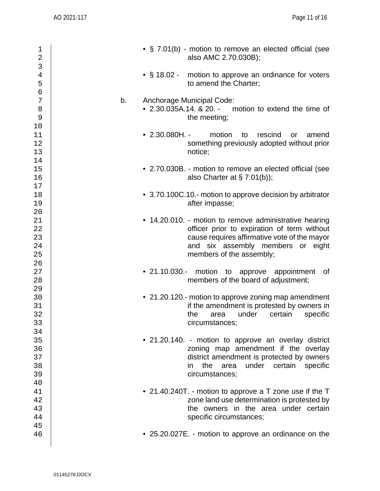| 1<br>$\mathbf 2$<br>3            | • § 7.01(b) - motion to remove an elected official (see<br>also AMC 2.70.030B);                                                                                                                                        |          |
|----------------------------------|------------------------------------------------------------------------------------------------------------------------------------------------------------------------------------------------------------------------|----------|
| $\bf 4$<br>5<br>$\sigma$         | • § 18.02 - motion to approve an ordinance for voters<br>to amend the Charter;                                                                                                                                         |          |
| $\boldsymbol{7}$<br>8<br>9<br>10 | b.<br>Anchorage Municipal Code:<br>$\bullet$ 2.30.035A.14. & 20. -<br>motion to extend the time of<br>the meeting;                                                                                                     |          |
| 11<br>12<br>13<br>14             | $\bullet$ 2.30.080H. -<br>motion<br>rescind<br>to<br>or<br>something previously adopted without prior<br>notice;                                                                                                       | amend    |
| 15<br>16<br>17                   | • 2.70.030B. - motion to remove an elected official (see<br>also Charter at $\S$ 7.01(b));                                                                                                                             |          |
| $18$<br>19<br>20                 | • 3.70.100C.10.- motion to approve decision by arbitrator<br>after impasse;                                                                                                                                            |          |
| 21<br>22<br>23<br>24<br>25       | • 14.20.010. - motion to remove administrative hearing<br>officer prior to expiration of term without<br>cause requires affirmative vote of the mayor<br>and six assembly members or eight<br>members of the assembly; |          |
| 26<br>27<br>28                   | • 21.10.030.- motion to approve appointment<br>members of the board of adjustment;                                                                                                                                     | of       |
| 29<br>30<br>31<br>32<br>33<br>34 | • 21.20.120.- motion to approve zoning map amendment<br>if the amendment is protested by owners in<br>under<br>the<br>certain<br>area<br>circumstances;                                                                | specific |
| 35<br>36<br>37<br>38<br>39       | • 21.20.140. - motion to approve an overlay district<br>zoning map amendment if the overlay<br>district amendment is protected by owners<br>the<br>under<br>certain<br>area<br>in<br>circumstances;                    | specific |
| 40<br>41<br>42<br>43<br>44       | • 21.40.240T. - motion to approve a T zone use if the T<br>zone land use determination is protested by<br>the owners in the area under certain<br>specific circumstances;                                              |          |
| 45<br>46                         | • 25.20.027E. - motion to approve an ordinance on the                                                                                                                                                                  |          |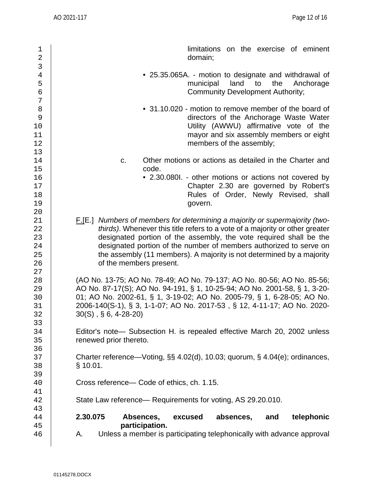| 1<br>$\overline{2}$                          | limitations on the exercise of eminent<br>domain;                                                                                                                                                                                                                                                                                                                                                                  |
|----------------------------------------------|--------------------------------------------------------------------------------------------------------------------------------------------------------------------------------------------------------------------------------------------------------------------------------------------------------------------------------------------------------------------------------------------------------------------|
| 3<br>$\,4$<br>5<br>$\epsilon$<br>7           | • 25.35.065A. - motion to designate and withdrawal of<br>land to<br>municipal<br>the<br>Anchorage<br><b>Community Development Authority;</b>                                                                                                                                                                                                                                                                       |
| $\, 8$<br>9<br>10<br>11<br>12                | • 31.10.020 - motion to remove member of the board of<br>directors of the Anchorage Waste Water<br>Utility (AWWU) affirmative vote of the<br>mayor and six assembly members or eight<br>members of the assembly;                                                                                                                                                                                                   |
| 13<br>14<br>15<br>16<br>17<br>18<br>19       | Other motions or actions as detailed in the Charter and<br>C.<br>code.<br>• 2.30.080l. - other motions or actions not covered by<br>Chapter 2.30 are governed by Robert's<br>Rules of Order, Newly Revised, shall<br>govern.                                                                                                                                                                                       |
| 20<br>21<br>22<br>23<br>24<br>25<br>26<br>27 | <b>F.[E.]</b> Numbers of members for determining a majority or supermajority (two-<br>thirds). Whenever this title refers to a vote of a majority or other greater<br>designated portion of the assembly, the vote required shall be the<br>designated portion of the number of members authorized to serve on<br>the assembly (11 members). A majority is not determined by a majority<br>of the members present. |
| 28<br>29<br>30<br>31<br>32                   | (AO No. 13-75; AO No. 78-49; AO No. 79-137; AO No. 80-56; AO No. 85-56;<br>AO No. 87-17(S); AO No. 94-191, § 1, 10-25-94; AO No. 2001-58, § 1, 3-20-<br>01; AO No. 2002-61, § 1, 3-19-02; AO No. 2005-79, § 1, 6-28-05; AO No.<br>2006-140(S-1), § 3, 1-1-07; AO No. 2017-53, § 12, 4-11-17; AO No. 2020-<br>$30(S)$ , § 6, 4-28-20)                                                                               |
| 33<br>34<br>35                               | Editor's note— Subsection H. is repealed effective March 20, 2002 unless<br>renewed prior thereto.                                                                                                                                                                                                                                                                                                                 |
| 36<br>37<br>38<br>39                         | Charter reference—Voting, §§ 4.02(d), 10.03; quorum, § 4.04(e); ordinances,<br>$§$ 10.01.                                                                                                                                                                                                                                                                                                                          |
| 40<br>41                                     | Cross reference— Code of ethics, ch. 1.15.                                                                                                                                                                                                                                                                                                                                                                         |
| 42<br>43<br>44                               | State Law reference— Requirements for voting, AS 29.20.010.<br>2.30.075<br>Absences,<br>absences,<br>telephonic<br>excused<br>and                                                                                                                                                                                                                                                                                  |
| 45<br>46                                     | participation.<br>Unless a member is participating telephonically with advance approval<br>Α.                                                                                                                                                                                                                                                                                                                      |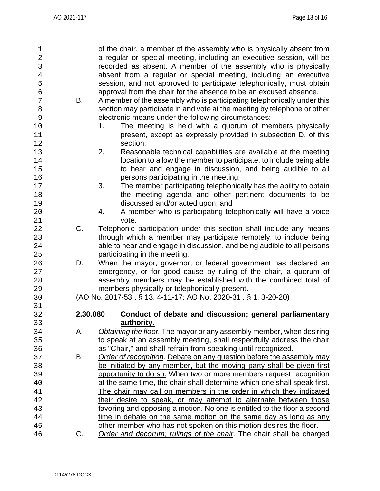| $\mathbf 1$    |          | of the chair, a member of the assembly who is physically absent from     |
|----------------|----------|--------------------------------------------------------------------------|
| $\overline{2}$ |          | a regular or special meeting, including an executive session, will be    |
| $\mathfrak{Z}$ |          | recorded as absent. A member of the assembly who is physically           |
| $\overline{4}$ |          | absent from a regular or special meeting, including an executive         |
| 5              |          | session, and not approved to participate telephonically, must obtain     |
| б              |          | approval from the chair for the absence to be an excused absence.        |
|                |          |                                                                          |
| 7              | В.       | A member of the assembly who is participating telephonically under this  |
| 8              |          | section may participate in and vote at the meeting by telephone or other |
| 9              |          | electronic means under the following circumstances:                      |
| 10             |          | The meeting is held with a quorum of members physically<br>1.            |
| 11             |          | present, except as expressly provided in subsection D. of this           |
| 12             |          | section;                                                                 |
| 13             |          | Reasonable technical capabilities are available at the meeting<br>2.     |
| 14             |          | location to allow the member to participate, to include being able       |
| 15             |          | to hear and engage in discussion, and being audible to all               |
| 16             |          | persons participating in the meeting;                                    |
| 17             |          | 3.<br>The member participating telephonically has the ability to obtain  |
| 18             |          | the meeting agenda and other pertinent documents to be                   |
| 19             |          | discussed and/or acted upon; and                                         |
| 20             |          | A member who is participating telephonically will have a voice<br>4.     |
| 21             |          | vote.                                                                    |
| 22             | C.       | Telephonic participation under this section shall include any means      |
| 23             |          | through which a member may participate remotely, to include being        |
| 24             |          | able to hear and engage in discussion, and being audible to all persons  |
| 25             |          | participating in the meeting.                                            |
| 26             | D.       | When the mayor, governor, or federal government has declared an          |
| 27             |          | emergency, or for good cause by ruling of the chair, a quorum of         |
| 28             |          | assembly members may be established with the combined total of           |
| 29             |          | members physically or telephonically present.                            |
| 30             |          | (AO No. 2017-53, § 13, 4-11-17; AO No. 2020-31, § 1, 3-20-20)            |
| 31             |          |                                                                          |
| 32             | 2.30.080 | Conduct of debate and discussion: general parliamentary                  |
| 33             |          | authority.                                                               |
| 34             | А.       | Obtaining the floor. The mayor or any assembly member, when desiring     |
| 35             |          | to speak at an assembly meeting, shall respectfully address the chair    |
| 36             |          | as "Chair," and shall refrain from speaking until recognized.            |
| 37             | В.       | Order of recognition. Debate on any question before the assembly may     |
| 38             |          | be initiated by any member, but the moving party shall be given first    |
| 39             |          | opportunity to do so. When two or more members request recognition       |
| 40             |          | at the same time, the chair shall determine which one shall speak first. |
| 41             |          | The chair may call on members in the order in which they indicated       |
| 42             |          | their desire to speak, or may attempt to alternate between those         |
| 43             |          | favoring and opposing a motion. No one is entitled to the floor a second |
| 44             |          | time in debate on the same motion on the same day as long as any         |
| 45             |          | other member who has not spoken on this motion desires the floor.        |
| 46             | C.       | Order and decorum; rulings of the chair. The chair shall be charged      |
|                |          |                                                                          |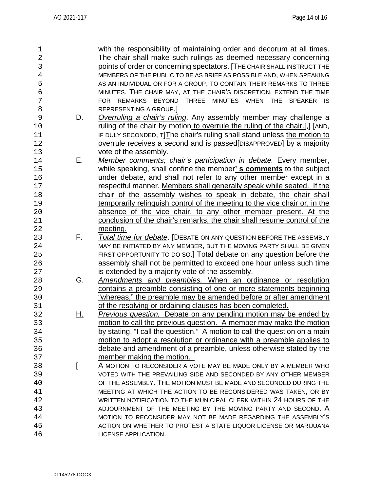| 1              |           | with the responsibility of maintaining order and decorum at all times.      |
|----------------|-----------|-----------------------------------------------------------------------------|
| $\overline{2}$ |           | The chair shall make such rulings as deemed necessary concerning            |
| 3              |           | points of order or concerning spectators. [THE CHAIR SHALL INSTRUCT THE     |
| $\overline{4}$ |           | MEMBERS OF THE PUBLIC TO BE AS BRIEF AS POSSIBLE AND, WHEN SPEAKING         |
| 5              |           | AS AN INDIVIDUAL OR FOR A GROUP, TO CONTAIN THEIR REMARKS TO THREE          |
| $\epsilon$     |           | MINUTES. THE CHAIR MAY, AT THE CHAIR'S DISCRETION, EXTEND THE TIME          |
| 7              |           | FOR REMARKS BEYOND THREE MINUTES WHEN THE SPEAKER IS                        |
| 8              |           | REPRESENTING A GROUP.]                                                      |
| 9              | D.        | Overruling a chair's ruling. Any assembly member may challenge a            |
| 10             |           | ruling of the chair by motion to overrule the ruling of the chair.[,] [AND, |
| 11             |           | IF DULY SECONDED, T] The chair's ruling shall stand unless the motion to    |
| 12             |           | overrule receives a second and is passed[DISAPPROVED] by a majority         |
| 13             |           | vote of the assembly.                                                       |
| 14             | Е.        | Member comments; chair's participation in debate. Every member,             |
| 15             |           | while speaking, shall confine the member's comments to the subject          |
| 16             |           | under debate, and shall not refer to any other member except in a           |
| 17             |           | respectful manner. Members shall generally speak while seated. If the       |
| 18             |           | chair of the assembly wishes to speak in debate, the chair shall            |
| 19             |           | temporarily relinquish control of the meeting to the vice chair or, in the  |
| 20             |           | absence of the vice chair, to any other member present. At the              |
| 21             |           | conclusion of the chair's remarks, the chair shall resume control of the    |
| 22             |           | meeting.                                                                    |
| 23             | F.        | Total time for debate. [DEBATE ON ANY QUESTION BEFORE THE ASSEMBLY          |
| 24             |           | MAY BE INITIATED BY ANY MEMBER, BUT THE MOVING PARTY SHALL BE GIVEN         |
| 25             |           | FIRST OPPORTUNITY TO DO SO.] Total debate on any question before the        |
| 26             |           | assembly shall not be permitted to exceed one hour unless such time         |
| 27             |           | is extended by a majority vote of the assembly.                             |
| 28             | G.        | Amendments and preambles. When an ordinance or resolution                   |
| 29             |           | contains a preamble consisting of one or more statements beginning          |
| 30             |           | "whereas," the preamble may be amended before or after amendment            |
| 31             |           | of the resolving or ordaining clauses has been completed.                   |
| 32             | <u>H.</u> | Previous question. Debate on any pending motion may be ended by             |
| 33             |           | motion to call the previous question. A member may make the motion          |
| 34             |           | by stating, "I call the question." A motion to call the question on a main  |
| 35             |           | motion to adopt a resolution or ordinance with a preamble applies to        |
| 36             |           | debate and amendment of a preamble, unless otherwise stated by the          |
| 37             |           | member making the motion.                                                   |
| 38             |           | A MOTION TO RECONSIDER A VOTE MAY BE MADE ONLY BY A MEMBER WHO              |
| 39             |           | VOTED WITH THE PREVAILING SIDE AND SECONDED BY ANY OTHER MEMBER             |
| 40             |           | OF THE ASSEMBLY. THE MOTION MUST BE MADE AND SECONDED DURING THE            |
| 41             |           | MEETING AT WHICH THE ACTION TO BE RECONSIDERED WAS TAKEN, OR BY             |
| 42             |           | WRITTEN NOTIFICATION TO THE MUNICIPAL CLERK WITHIN 24 HOURS OF THE          |
| 43             |           | ADJOURNMENT OF THE MEETING BY THE MOVING PARTY AND SECOND. A                |
| 44             |           | MOTION TO RECONSIDER MAY NOT BE MADE REGARDING THE ASSEMBLY'S               |
| 45             |           | ACTION ON WHETHER TO PROTEST A STATE LIQUOR LICENSE OR MARIJUANA            |
| 46             |           | LICENSE APPLICATION.                                                        |
|                |           |                                                                             |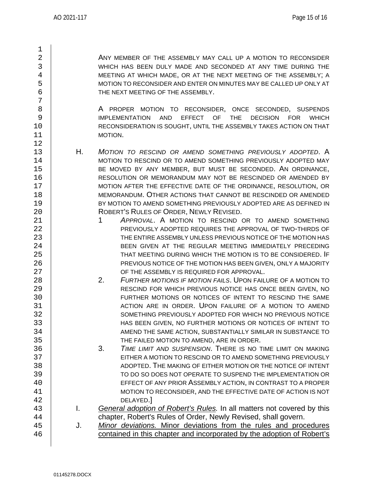$\frac{1}{2}$ 

7

12

2 ANY MEMBER OF THE ASSEMBLY MAY CALL UP A MOTION TO RECONSIDER<br>3 WHICH HAS BEEN DULY MADE AND SECONDED AT ANY TIME DURING THE 3 WHICH HAS BEEN DULY MADE AND SECONDED AT ANY TIME DURING THE 4<br>4 4 MEETING AT WHICH MADE, OR AT THE NEXT MEETING OF THE ASSEMBLY; A<br>MOTION TO RECONSIDER AND ENTER ON MINUTES MAY BE CALLED UP ONLY AT 5 MOTION TO RECONSIDER AND ENTER ON MINUTES MAY BE CALLED UP ONLY AT <br>6 THE NEXT MEETING OF THE ASSEMBLY.

8 A PROPER MOTION TO RECONSIDER, ONCE SECONDED, SUSPENDS<br>9 IMPLEMENTATION AND EFFECT OF THE DECISION FOR WHICH 9 | IMPLEMENTATION AND EFFECT OF THE DECISION FOR WHICH<br>TO | RECONSIDERATION IS SOUGHT, UNTIL THE ASSEMBLY TAKES ACTION ON THAT 10 RECONSIDERATION IS SOUGHT, UNTIL THE ASSEMBLY TAKES ACTION ON THAT<br>11 MOTION. MOTION.

13 H. *MOTION TO RESCIND OR AMEND SOMETHING PREVIOUSLY ADOPTED*. A 14 MOTION TO RESCIND OR TO AMEND SOMETHING PREVIOUSLY ADOPTED MAY 15 BE MOVED BY ANY MEMBER, BUT MUST BE SECONDED. AN ORDINANCE,<br>16 RESOLUTION OR MEMORANDUM MAY NOT BE RESCINDED OR AMENDED BY 16 RESOLUTION OR MEMORANDUM MAY NOT BE RESCINDED OR AMENDED BY<br>17 MOTION AFTER THE EFFECTIVE DATE OF THE ORDINANCE. RESOLUTION. OR 17 MOTION AFTER THE EFFECTIVE DATE OF THE ORDINANCE, RESOLUTION, OR<br>18 MEMORANDUM. OTHER ACTIONS THAT CANNOT BE RESCINDED OR AMENDED 18 MEMORANDUM. OTHER ACTIONS THAT CANNOT BE RESCINDED OR AMENDED<br>19 SEX MOTION TO AMEND SOMETHING PREVIOUSLY ADOPTED ARE AS DEFINED IN 19 BY MOTION TO AMEND SOMETHING PREVIOUSLY ADOPTED ARE AS DEFINED IN<br>20 ROBERT'S RULES OF ORDER, NEWLY REVISED. 20 ROBERT'S RULES OF ORDER, NEWLY REVISED.<br>21 1 APPROVAL A MOTION TO RESCIND 0

- 21 **1 APPROVAL. A MOTION TO RESCIND OR TO AMEND SOMETHING**<br>22 PREVIOUSLY ADOPTED REQUIRES THE APPROVAL OF TWO-THIRDS OF PREVIOUSLY ADOPTED REQUIRES THE APPROVAL OF TWO-THIRDS OF 23 THE ENTIRE ASSEMBLY UNLESS PREVIOUS NOTICE OF THE MOTION HAS<br>24 THE REFINITION OF THE REGULAR MEETING IMMEDIATELY PRECEDING 24 BEEN GIVEN AT THE REGULAR MEETING IMMEDIATELY PRECEDING<br>25 THAT MEETING DURING WHICH THE MOTION IS TO BE CONSIDERED. IF 25 THAT MEETING DURING WHICH THE MOTION IS TO BE CONSIDERED. IF 26 PREVIOUS NOTICE OF THE MOTION HAS BEEN GIVEN, ONLY A MAJORITY (27 NOTION AND THE ASSEMBLY IS REQUIRED FOR APPROVAL. 27 CF THE ASSEMBLY IS REQUIRED FOR APPROVAL.<br>28 2. *EURTHER MOTIONS IF MOTION FAILS*. UPON FAIL
- 28 2. *FURTHER MOTIONS IF MOTION FAILS*. UPON FAILURE OF A MOTION TO 29 RESCIND FOR WHICH PREVIOUS NOTICE HAS ONCE BEEN GIVEN, NO AND THE SAME FURTHER MOTIONS OR NOTICES OF INTENT TO RESCIND THE SAME FURTHER MOTIONS OR NOTICES OF INTENT TO RESCIND THE SAME 31 ACTION ARE IN ORDER. UPON FAILURE OF A MOTION TO AMEND 32 SOMETHING PREVIOUSLY ADOPTED FOR WHICH NO PREVIOUS NOTICE 33 HAS BEEN GIVEN, NO FURTHER MOTIONS OR NOTICES OF INTENT TO AMEND THE SAME ACTION, SUBSTANTIALLY SIMILAR IN SUBSTANCE TO

35 THE FAILED MOTION TO AMEND, ARE IN ORDER.<br>36 3. *TIME LIMIT AND SUSPENSION*. THERE IS NO 36 3. *TIME LIMIT AND SUSPENSION*. THERE IS NO TIME LIMIT ON MAKING 37 EITHER A MOTION TO RESCIND OR TO AMEND SOMETHING PREVIOUSLY<br>38 ADOPTED. THE MAKING OF EITHER MOTION OR THE NOTICE OF INTENT 38 ADOPTED. THE MAKING OF EITHER MOTION OR THE NOTICE OF INTENT (39) AND TO DO SO DOES NOT OPERATE TO SUSPEND THE IMPLEMENTATION OR 39 TO DO SO DOES NOT OPERATE TO SUSPEND THE IMPLEMENTATION OR<br>40 EFFECT OF ANY PRIOR ASSEMBLY ACTION. IN CONTRAST TO A PROPER EFFECT OF ANY PRIOR ASSEMBLY ACTION, IN CONTRAST TO A PROPER 41 MOTION TO RECONSIDER, AND THE EFFECTIVE DATE OF ACTION IS NOT ASSEMBLY DELAYED.

- 42 DELAYED.]<br>43 **I.** General adoption 43 I. *General adoption of Robert's Rules.* In all matters not covered by this 44 chapter, Robert's Rules of Order, Newly Revised, shall govern.<br>45 J. Minor deviations. Minor deviations from the rules and proc
- 45 J. *Minor deviations.* Minor deviations from the rules and procedures<br>46 contained in this chapter and incorporated by the adoption of Robert's contained in this chapter and incorporated by the adoption of Robert's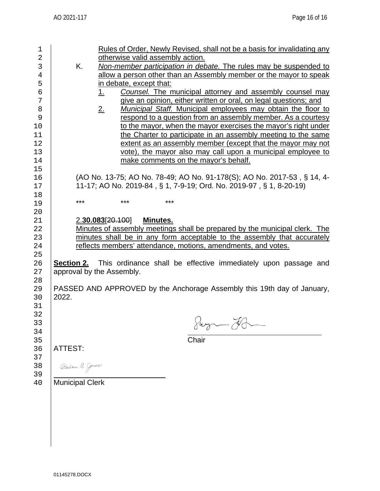| <u>Rules of Order, Newly Revised, shall not be a basis for invalidating any</u><br>otherwise valid assembly action.<br>K.<br>Non-member participation in debate. The rules may be suspended to<br>allow a person other than an Assembly member or the mayor to speak<br><u>in debate, except that:</u><br>Counsel. The municipal attorney and assembly counsel may<br>1.<br>give an opinion, either written or oral, on legal questions; and<br>Municipal Staff. Municipal employees may obtain the floor to<br>2.<br>respond to a question from an assembly member. As a courtesy<br>to the mayor, when the mayor exercises the mayor's right under<br>the Charter to participate in an assembly meeting to the same<br>extent as an assembly member (except that the mayor may not<br>vote), the mayor also may call upon a municipal employee to<br>make comments on the mayor's behalf.<br>(AO No. 13-75; AO No. 78-49; AO No. 91-178(S); AO No. 2017-53, § 14, 4-<br>11-17; AO No. 2019-84, § 1, 7-9-19; Ord. No. 2019-97, § 1, 8-20-19) |  |  |
|-----------------------------------------------------------------------------------------------------------------------------------------------------------------------------------------------------------------------------------------------------------------------------------------------------------------------------------------------------------------------------------------------------------------------------------------------------------------------------------------------------------------------------------------------------------------------------------------------------------------------------------------------------------------------------------------------------------------------------------------------------------------------------------------------------------------------------------------------------------------------------------------------------------------------------------------------------------------------------------------------------------------------------------------------|--|--|
| ***<br>***<br>***                                                                                                                                                                                                                                                                                                                                                                                                                                                                                                                                                                                                                                                                                                                                                                                                                                                                                                                                                                                                                             |  |  |
|                                                                                                                                                                                                                                                                                                                                                                                                                                                                                                                                                                                                                                                                                                                                                                                                                                                                                                                                                                                                                                               |  |  |
| 2.30.083[20.100]<br>Minutes.<br>Minutes of assembly meetings shall be prepared by the municipal clerk. The<br>minutes shall be in any form acceptable to the assembly that accurately<br>reflects members' attendance, motions, amendments, and votes.<br><b>Section 2.</b> This ordinance shall be effective immediately upon passage and<br>approval by the Assembly.<br>PASSED AND APPROVED by the Anchorage Assembly this 19th day of January,<br>2022.<br>$\bigcap$<br>$\mathcal{A}$<br>Jug - N<br>Chair<br><b>ATTEST:</b><br>Barbara A. Jones<br><b>Municipal Clerk</b>                                                                                                                                                                                                                                                                                                                                                                                                                                                                 |  |  |
|                                                                                                                                                                                                                                                                                                                                                                                                                                                                                                                                                                                                                                                                                                                                                                                                                                                                                                                                                                                                                                               |  |  |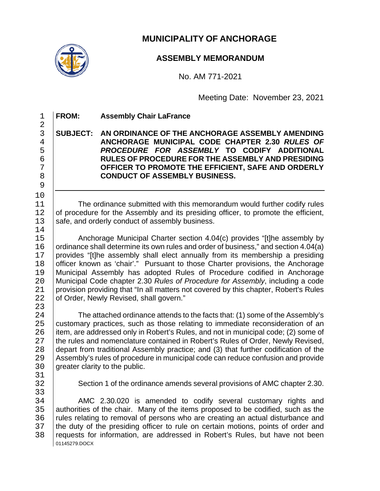

# **MUNICIPALITY OF ANCHORAGE**

## **ASSEMBLY MEMORANDUM**

No. AM 771-2021

Meeting Date: November 23, 2021

 $\frac{2}{3}$ 9 10<br>11  $\begin{array}{c} 14 \\ 15 \end{array}$  $\frac{23}{24}$ 31<br>32 33<br>34

1 **FROM: Assembly Chair LaFrance**

**SUBJECT: AN ORDINANCE OF THE ANCHORAGE ASSEMBLY AMENDING ANCHORAGE MUNICIPAL CODE CHAPTER 2.30** *RULES OF PROCEDURE FOR ASSEMBLY* **TO CODIFY ADDITIONAL RULES OF PROCEDURE FOR THE ASSEMBLY AND PRESIDING OFFICER TO PROMOTE THE EFFICIENT, SAFE AND ORDERLY CONDUCT OF ASSEMBLY BUSINESS.**

11 The ordinance submitted with this memorandum would further codify rules<br>12 of procedure for the Assembly and its presiding officer, to promote the efficient. 12 of procedure for the Assembly and its presiding officer, to promote the efficient, 13 safe, and orderly conduct of assembly business. safe, and orderly conduct of assembly business.

15 Anchorage Municipal Charter section 4.04(c) provides "[t]he assembly by<br>16 ordinance shall determine its own rules and order of business." and section 4.04(a) 16 ordinance shall determine its own rules and order of business," and section 4.04(a)<br>17 provides "[t]he assembly shall elect annually from its membership a presiding 17 provides "[t]he assembly shall elect annually from its membership a presiding 18 officer known as 'chair'." Pursuant to those Charter provisions, the Anchorage 18 officer known as 'chair'." Pursuant to those Charter provisions, the Anchorage<br>19 Municipal Assembly has adopted Rules of Procedure codified in Anchorage 19 | Municipal Assembly has adopted Rules of Procedure codified in Anchorage<br>20 | Municipal Code chapter 2.30 Rules of Procedure for Assembly, including a code 20 Municipal Code chapter 2.30 *Rules of Procedure for Assembly*, including a code 21 provision providing that "In all matters not covered by this chapter, Robert's Rules<br>22 of Order, Newly Revised, shall govern." of Order, Newly Revised, shall govern."

24 The attached ordinance attends to the facts that: (1) some of the Assembly's<br>25 customary practices, such as those relating to immediate reconsideration of an 25 customary practices, such as those relating to immediate reconsideration of an 26 item, are addressed only in Robert's Rules, and not in municipal code: (2) some of 26 item, are addressed only in Robert's Rules, and not in municipal code; (2) some of 27 ithe rules and nomenclature contained in Robert's Rules of Order, Newly Revised, 27 the rules and nomenclature contained in Robert's Rules of Order, Newly Revised,<br>28 depart from traditional Assembly practice: and (3) that further codification of the 28 depart from traditional Assembly practice; and (3) that further codification of the<br>29 Assembly's rules of procedure in municipal code can reduce confusion and provide 29 Assembly's rules of procedure in municipal code can reduce confusion and provide<br>30 areater clarity to the public. areater clarity to the public.

- 
- 

Section 1 of the ordinance amends several provisions of AMC chapter 2.30.

01145279.DOCX 34 AMC 2.30.020 is amended to codify several customary rights and<br>35 authorities of the chair. Many of the items proposed to be codified, such as the 35 authorities of the chair. Many of the items proposed to be codified, such as the 36 rules relating to removal of persons who are creating an actual disturbance and 36 | rules relating to removal of persons who are creating an actual disturbance and<br>37 | the duty of the presiding officer to rule on certain motions, points of order and 37 the duty of the presiding officer to rule on certain motions, points of order and<br>38 requests for information, are addressed in Robert's Rules, but have not been requests for information, are addressed in Robert's Rules, but have not been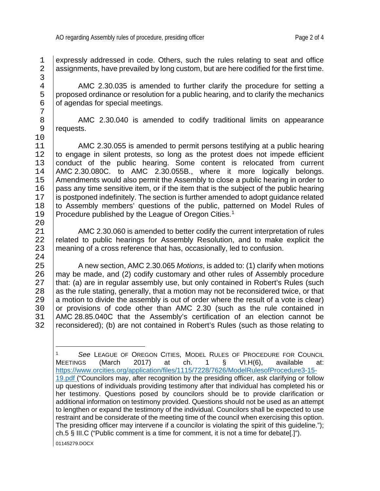1 expressly addressed in code. Others, such the rules relating to seat and office<br>2 assignments, have prevailed by long custom, but are here codified for the first time. assignments, have prevailed by long custom, but are here codified for the first time.

4 AMC 2.30.035 is amended to further clarify the procedure for setting a<br>5 proposed ordinance or resolution for a public hearing, and to clarify the mechanics  $5$  proposed ordinance or resolution for a public hearing, and to clarify the mechanics  $6$  of agendas for special meetings. of agendas for special meetings.

8 | AMC 2.30.040 is amended to codify traditional limits on appearance<br>9 | requests. requests.

11 AMC 2.30.055 is amended to permit persons testifying at a public hearing<br>12 to engage in silent protests, so long as the protest does not impede efficient 12 to engage in silent protests, so long as the protest does not impede efficient 13 conduct of the public hearing. Some content is relocated from current 13 conduct of the public hearing. Some content is relocated from current 14 AMC 2.30.080C, to AMC 2.30.055B, where it more logically belongs. 14 | AMC 2.30.080C. to AMC 2.30.055B., where it more logically belongs.<br>15 | Amendments would also permit the Assembly to close a public hearing in order to 15 Amendments would also permit the Assembly to close a public hearing in order to 16 ass any time sensitive item, or if the item that is the subject of the public hearing 16 pass any time sensitive item, or if the item that is the subject of the public hearing 17 is postponed indefinitely. The section is further amended to adopt quidance related 17 is postponed indefinitely. The section is further amended to adopt guidance related<br>18 to Assembly members' questions of the public, patterned on Model Rules of 18 to Assembly members' questions of the public, patterned on Model Rules of  $19$  Procedure published by the League of Oregon Cities.<sup>1</sup> [1](#page-19-0)9 | Procedure published by the League of Oregon Cities.<sup>1</sup>

21 AMC 2.30.060 is amended to better codify the current interpretation of rules<br>22 related to public hearings for Assembly Resolution, and to make explicit the 22 related to public hearings for Assembly Resolution, and to make explicit the 23 meaning of a cross reference that has occasionally led to confusion. meaning of a cross reference that has, occasionally, led to confusion.

25 A new section, AMC 2.30.065 *Motions*, is added to: (1) clarify when motions 26 | may be made, and (2) codify customary and other rules of Assembly procedure<br>27 | that: (a) are in regular assembly use, but only contained in Robert's Rules (such 27 that: (a) are in regular assembly use, but only contained in Robert's Rules (such 28 as the rule stating, generally, that a motion may not be reconsidered twice, or that 28 as the rule stating, generally, that a motion may not be reconsidered twice, or that 29 a motion to divide the assembly is out of order where the result of a vote is clear) 29 a motion to divide the assembly is out of order where the result of a vote is clear)<br>20 or provisions of code other than AMC 2.30 (such as the rule contained in 30 or provisions of code other than AMC 2.30 (such as the rule contained in 31 AMC 28.85.040C that the Assembly's certification of an election cannot be 31 | AMC 28.85.040C that the Assembly's certification of an election cannot be 32 | reconsidered): (b) are not contained in Robert's Rules (such as those relating to reconsidered); (b) are not contained in Robert's Rules (such as those relating to

3<br>4  $\begin{array}{c} 7 \\ 8 \end{array}$ 10<br>11  $\frac{20}{21}$  $\frac{24}{25}$ 

<span id="page-19-0"></span><sup>01145279.</sup>DOCX <sup>1</sup> *See* LEAGUE OF OREGON CITIES, MODEL RULES OF PROCEDURE FOR COUNCIL MEETINGS (March 2017) at ch. 1 § VI.H(6), available at: [https://www.orcities.org/application/files/1115/7228/7626/ModelRulesofProcedure3-15-](https://www.orcities.org/application/files/1115/7228/7626/ModelRulesofProcedure3-15-19.pdf) [19.pdf](https://www.orcities.org/application/files/1115/7228/7626/ModelRulesofProcedure3-15-19.pdf) ("Councilors may, after recognition by the presiding officer, ask clarifying or follow up questions of individuals providing testimony after that individual has completed his or her testimony. Questions posed by councilors should be to provide clarification or additional information on testimony provided. Questions should not be used as an attempt to lengthen or expand the testimony of the individual. Councilors shall be expected to use restraint and be considerate of the meeting time of the council when exercising this option. The presiding officer may intervene if a councilor is violating the spirit of this guideline."); ch.5 § III.C ("Public comment is a time for comment, it is not a time for debate[.]").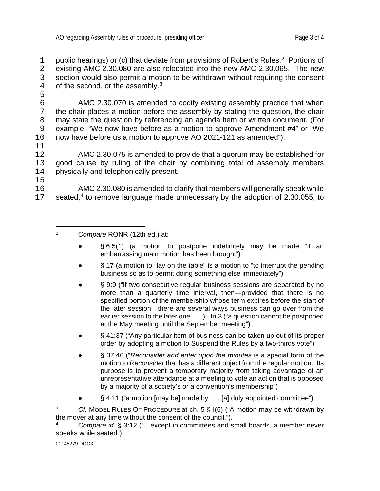5<br>6

11<br>12

15<br>16

public hearings) or (c) that deviate from provisions of Robert's Rules.<sup>[2](#page-20-0)</sup> Portions of <br>2 existing AMC 2.30.080 are also relocated into the new AMC 2.30.065. The new 2 existing AMC 2.30.080 are also relocated into the new AMC 2.30.065. The new section would also permit a motion to be withdrawn without requiring the consent 3 section would also permit a motion to be withdrawn without requiring the consent  $\frac{4}{10}$  of the second. or the assembly.<sup>3</sup> of the second, or the assembly. $3^3$  $3^3$ 

 $6$   $\vert$  AMC 2.30.070 is amended to codify existing assembly practice that when<br>7 the chair places a motion before the assembly by stating the question, the chair 7 the chair places a motion before the assembly by stating the question, the chair<br>8 may state the question by referencing an agenda item or written document. (For 8 | may state the question by referencing an agenda item or written document. (For<br>9 | example. "We now have before as a motion to approve Amendment #4" or "We 9 example, "We now have before as a motion to approve Amendment #4" or "We now have before us a motion to approve AO 2021-121 as amended"). now have before us a motion to approve AO 2021-121 as amended").

12 AMC 2.30.075 is amended to provide that a quorum may be established for 13 aood cause by ruling of the chair by combining total of assembly members 13 good cause by ruling of the chair by combining total of assembly members 14 bhysically and telephonically present. physically and telephonically present.

16 AMC 2.30.080 is amended to clarify that members will generally speak while<br>17 Seated.<sup>4</sup> to remove language made unnecessary by the adoption of 2.30.055, to seated,<sup>[4](#page-20-2)</sup> to remove language made unnecessary by the adoption of 2.30.055, to

- $§ 6:5(1)$  (a motion to postpone indefinitely may be made "if an embarrassing main motion has been brought")
- § 17 (a motion to "lay on the table" is a motion to "to interrupt the pending business so as to permit doing something else immediately")
- § 9:9 ("If two consecutive regular business sessions are separated by no more than a quarterly time interval, then—provided that there is no specified portion of the membership whose term expires before the start of the later session—there are several ways business can go over from the earlier session to the later one. . . ");. fn.3 ("a question cannot be postponed at the May meeting until the September meeting")
- § 41:37 ("Any particular item of business can be taken up out of its proper order by adopting a motion to Suspend the Rules by a two-thirds vote")
- § 37:46 ("Reconsider and enter upon the minutes is a special form of the motion to *Reconsider* that has a different object from the regular motion. Its purpose is to prevent a temporary majority from taking advantage of an unrepresentative attendance at a meeting to vote an action that is opposed by a majority of a society's or a convention's membership")
- $\S$  4:11 ("a motion [may be] made by . . . [a] duly appointed committee").

<span id="page-20-1"></span><sup>3</sup> *Cf.* MODEL RULES OF PROCEDURE at ch. 5 § I(6) ("A motion may be withdrawn by the mover at any time without the consent of the council.").

<span id="page-20-2"></span><sup>4</sup> *Compare id.* § 3:12 ("…except in committees and small boards, a member never speaks while seated").

01145279.DOCX

<span id="page-20-0"></span><sup>2</sup> *Compare* RONR (12th ed.) at: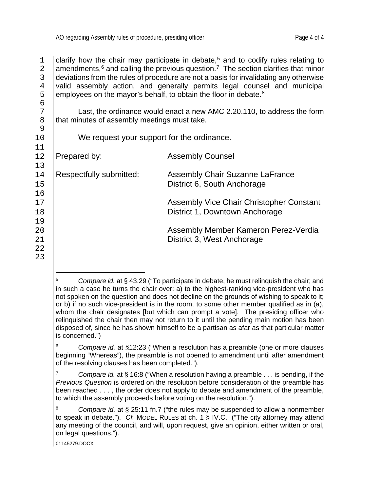clarify how the chair may participate in debate,<sup>[5](#page-21-0)</sup> and to codify rules relating to annormal among and calling the previous question.<sup>7</sup> The section clarifies that minor 2 amendments,  $6$  and calling the previous question.<sup>[7](#page-21-2)</sup> The section clarifies that minor deviations from the rules of procedure are not a basis for invalidating any otherwise 3 deviations from the rules of procedure are not a basis for invalidating any otherwise<br>4 valid assembly action, and generally permits legal counsel and municipal 4 valid assembly action, and generally permits legal counsel and municipal employees on the mayor's behalf, to obtain the floor in debate.<sup>8</sup> 5  $\mid$  employees on the mayor's behalf, to obtain the floor in debate.<sup>[8](#page-21-3)</sup>

T<br>B that minutes of assembly meetings must take.<br>That minutes of assembly meetings must take. that minutes of assembly meetings must take.

We request your support for the ordinance.

12 Prepared by: Assembly Counsel

14 | Respectfully submitted: Assembly Chair Suzanne LaFrance<br>15 | Listrict 6, South Anchorage District 6, South Anchorage

17 | Assembly Vice Chair Christopher Constant<br>18 | Chair Christopher Constant<br>District 1, Downtown Anchorage District 1, Downtown Anchorage

20 Assembly Member Kameron Perez-Verdia District 3, West Anchorage

<span id="page-21-0"></span><sup>5</sup> *Compare id.* at § 43.29 ("To participate in debate, he must relinquish the chair; and in such a case he turns the chair over: a) to the highest-ranking vice-president who has not spoken on the question and does not decline on the grounds of wishing to speak to it; or b) if no such vice-president is in the room, to some other member qualified as in (a), whom the chair designates [but which can prompt a vote]. The presiding officer who relinquished the chair then may not return to it until the pending main motion has been disposed of, since he has shown himself to be a partisan as afar as that particular matter is concerned.")

<span id="page-21-1"></span><sup>6</sup> *Compare id.* at §12:23 ("When a resolution has a preamble (one or more clauses beginning "Whereas"), the preamble is not opened to amendment until after amendment of the resolving clauses has been completed.").

<span id="page-21-2"></span><sup>7</sup> *Compare id.* at § 16:8 ("When a resolution having a preamble . . . is pending, if the *Previous Question* is ordered on the resolution before consideration of the preamble has been reached . . . , the order does not apply to debate and amendment of the preamble, to which the assembly proceeds before voting on the resolution.").

<span id="page-21-3"></span><sup>8</sup> *Compare id.* at § 25:11 fn.7 ("the rules may be suspended to allow a nonmember to speak in debate."). *Cf.* MODEL RULES at ch. 1 § IV.C. ("The city attorney may attend any meeting of the council, and will, upon request, give an opinion, either written or oral, on legal questions.").

<sup>01145279.</sup>DOCX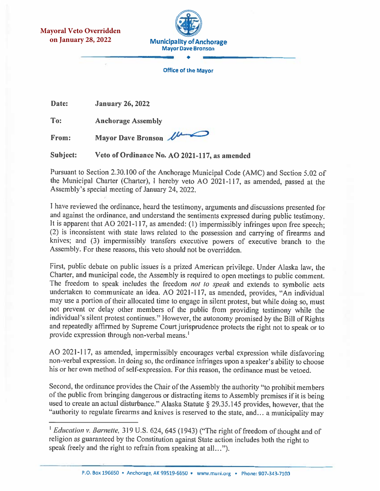**Mayoral Veto Overridden on January 28, 2022**



**Office of the Mayor** 

Date: **January 26, 2022** 

To: **Anchorage Assembly** 

Mayor Dave Bronson From:

Subject: Veto of Ordinance No. AO 2021-117, as amended

Pursuant to Section 2.30.100 of the Anchorage Municipal Code (AMC) and Section 5.02 of the Municipal Charter (Charter), I hereby veto AO 2021-117, as amended, passed at the Assembly's special meeting of January 24, 2022.

I have reviewed the ordinance, heard the testimony, arguments and discussions presented for and against the ordinance, and understand the sentiments expressed during public testimony. It is apparent that AO 2021-117, as amended: (1) impermissibly infringes upon free speech; (2) is inconsistent with state laws related to the possession and carrying of firearms and knives; and (3) impermissibly transfers executive powers of executive branch to the Assembly. For these reasons, this veto should not be overridden.

First, public debate on public issues is a prized American privilege. Under Alaska law, the Charter, and municipal code, the Assembly is required to open meetings to public comment. The freedom to speak includes the freedom not to speak and extends to symbolic acts undertaken to communicate an idea. AO 2021-117, as amended, provides, "An individual may use a portion of their allocated time to engage in silent protest, but while doing so, must not prevent or delay other members of the public from providing testimony while the individual's silent protest continues." However, the autonomy promised by the Bill of Rights and repeatedly affirmed by Supreme Court jurisprudence protects the right not to speak or to provide expression through non-verbal means.<sup>1</sup>

AO 2021-117, as amended, impermissibly encourages verbal expression while disfavoring non-verbal expression. In doing so, the ordinance infringes upon a speaker's ability to choose his or her own method of self-expression. For this reason, the ordinance must be vetoed.

Second, the ordinance provides the Chair of the Assembly the authority "to prohibit members of the public from bringing dangerous or distracting items to Assembly premises if it is being used to create an actual disturbance." Alaska Statute § 29.35.145 provides, however, that the "authority to regulate firearms and knives is reserved to the state, and... a municipality may

<sup>&</sup>lt;sup>1</sup> Education v. Barnette, 319 U.S. 624, 645 (1943) ("The right of freedom of thought and of religion as guaranteed by the Constitution against State action includes both the right to speak freely and the right to refrain from speaking at all...").